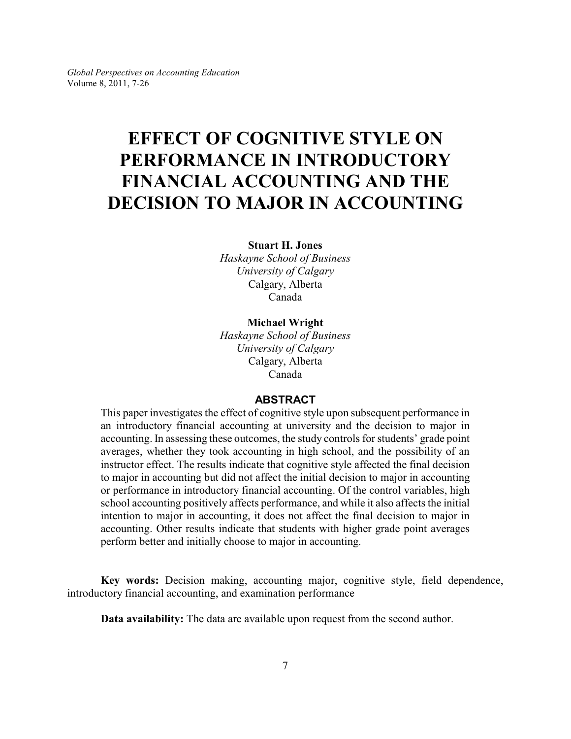# **EFFECT OF COGNITIVE STYLE ON PERFORMANCE IN INTRODUCTORY FINANCIAL ACCOUNTING AND THE DECISION TO MAJOR IN ACCOUNTING**

#### **Stuart H. Jones**

*Haskayne School of Business University of Calgary* Calgary, Alberta Canada

## **Michael Wright**

*Haskayne School of Business University of Calgary* Calgary, Alberta Canada

## **ABSTRACT**

This paper investigates the effect of cognitive style upon subsequent performance in an introductory financial accounting at university and the decision to major in accounting. In assessing these outcomes, the study controls for students' grade point averages, whether they took accounting in high school, and the possibility of an instructor effect. The results indicate that cognitive style affected the final decision to major in accounting but did not affect the initial decision to major in accounting or performance in introductory financial accounting. Of the control variables, high school accounting positively affects performance, and while it also affects the initial intention to major in accounting, it does not affect the final decision to major in accounting. Other results indicate that students with higher grade point averages perform better and initially choose to major in accounting.

**Key words:** Decision making, accounting major, cognitive style, field dependence, introductory financial accounting, and examination performance

**Data availability:** The data are available upon request from the second author.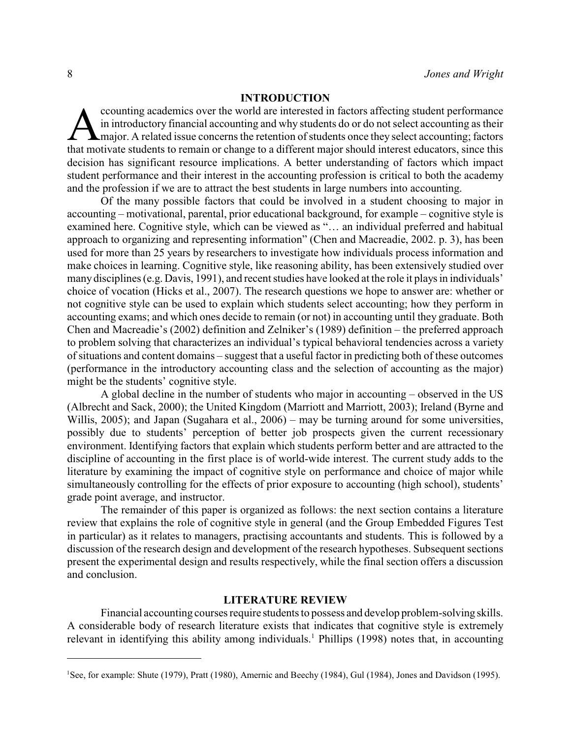# **INTRODUCTION**

counting academics over the world are interested in factors affecting student performance<br>in introductory financial accounting and why students do or do not select accounting as their<br>major. A related issue concerns the re ccounting academics over the world are interested in factors affecting student performance in introductory financial accounting and why students do or do not select accounting as their **L** major. A related issue concerns the retention of students once they select accounting; factors decision has significant resource implications. A better understanding of factors which impact student performance and their interest in the accounting profession is critical to both the academy and the profession if we are to attract the best students in large numbers into accounting.

Of the many possible factors that could be involved in a student choosing to major in accounting – motivational, parental, prior educational background, for example – cognitive style is examined here. Cognitive style, which can be viewed as "… an individual preferred and habitual approach to organizing and representing information" (Chen and Macreadie, 2002. p. 3), has been used for more than 25 years by researchers to investigate how individuals process information and make choices in learning. Cognitive style, like reasoning ability, has been extensively studied over many disciplines (e.g. Davis, 1991), and recent studies have looked at the role it plays in individuals' choice of vocation (Hicks et al., 2007). The research questions we hope to answer are: whether or not cognitive style can be used to explain which students select accounting; how they perform in accounting exams; and which ones decide to remain (or not) in accounting until they graduate. Both Chen and Macreadie's (2002) definition and Zelniker's (1989) definition – the preferred approach to problem solving that characterizes an individual's typical behavioral tendencies across a variety of situations and content domains – suggest that a useful factor in predicting both of these outcomes (performance in the introductory accounting class and the selection of accounting as the major) might be the students' cognitive style.

A global decline in the number of students who major in accounting – observed in the US (Albrecht and Sack, 2000); the United Kingdom (Marriott and Marriott, 2003); Ireland (Byrne and Willis, 2005); and Japan (Sugahara et al., 2006) – may be turning around for some universities, possibly due to students' perception of better job prospects given the current recessionary environment. Identifying factors that explain which students perform better and are attracted to the discipline of accounting in the first place is of world-wide interest. The current study adds to the literature by examining the impact of cognitive style on performance and choice of major while simultaneously controlling for the effects of prior exposure to accounting (high school), students' grade point average, and instructor.

The remainder of this paper is organized as follows: the next section contains a literature review that explains the role of cognitive style in general (and the Group Embedded Figures Test in particular) as it relates to managers, practising accountants and students. This is followed by a discussion of the research design and development of the research hypotheses. Subsequent sections present the experimental design and results respectively, while the final section offers a discussion and conclusion.

# **LITERATURE REVIEW**

Financial accounting courses require students to possess and develop problem-solving skills. A considerable body of research literature exists that indicates that cognitive style is extremely relevant in identifying this ability among individuals.<sup>1</sup> Phillips  $(1998)$  notes that, in accounting

<sup>&</sup>lt;sup>1</sup>See, for example: Shute (1979), Pratt (1980), Amernic and Beechy (1984), Gul (1984), Jones and Davidson (1995).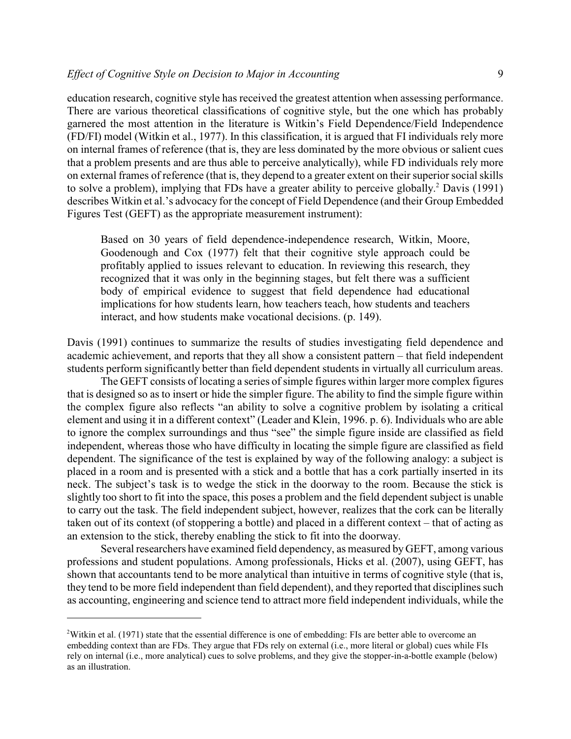education research, cognitive style has received the greatest attention when assessing performance. There are various theoretical classifications of cognitive style, but the one which has probably garnered the most attention in the literature is Witkin's Field Dependence/Field Independence (FD/FI) model (Witkin et al., 1977). In this classification, it is argued that FI individuals rely more on internal frames of reference (that is, they are less dominated by the more obvious or salient cues that a problem presents and are thus able to perceive analytically), while FD individuals rely more on external frames of reference (that is, they depend to a greater extent on their superior social skills to solve a problem), implying that FDs have a greater ability to perceive globally.<sup>2</sup> Davis (1991) describes Witkin et al.'s advocacy for the concept of Field Dependence (and their Group Embedded Figures Test (GEFT) as the appropriate measurement instrument):

Based on 30 years of field dependence-independence research, Witkin, Moore, Goodenough and Cox (1977) felt that their cognitive style approach could be profitably applied to issues relevant to education. In reviewing this research, they recognized that it was only in the beginning stages, but felt there was a sufficient body of empirical evidence to suggest that field dependence had educational implications for how students learn, how teachers teach, how students and teachers interact, and how students make vocational decisions. (p. 149).

Davis (1991) continues to summarize the results of studies investigating field dependence and academic achievement, and reports that they all show a consistent pattern – that field independent students perform significantly better than field dependent students in virtually all curriculum areas.

The GEFT consists of locating a series of simple figures within larger more complex figures that is designed so as to insert or hide the simpler figure. The ability to find the simple figure within the complex figure also reflects "an ability to solve a cognitive problem by isolating a critical element and using it in a different context" (Leader and Klein, 1996. p. 6). Individuals who are able to ignore the complex surroundings and thus "see" the simple figure inside are classified as field independent, whereas those who have difficulty in locating the simple figure are classified as field dependent. The significance of the test is explained by way of the following analogy: a subject is placed in a room and is presented with a stick and a bottle that has a cork partially inserted in its neck. The subject's task is to wedge the stick in the doorway to the room. Because the stick is slightly too short to fit into the space, this poses a problem and the field dependent subject is unable to carry out the task. The field independent subject, however, realizes that the cork can be literally taken out of its context (of stoppering a bottle) and placed in a different context – that of acting as an extension to the stick, thereby enabling the stick to fit into the doorway.

Several researchers have examined field dependency, as measured by GEFT, among various professions and student populations. Among professionals, Hicks et al. (2007), using GEFT, has shown that accountants tend to be more analytical than intuitive in terms of cognitive style (that is, they tend to be more field independent than field dependent), and they reported that disciplines such as accounting, engineering and science tend to attract more field independent individuals, while the

<sup>&</sup>lt;sup>2</sup>Witkin et al. (1971) state that the essential difference is one of embedding: FIs are better able to overcome an embedding context than are FDs. They argue that FDs rely on external (i.e., more literal or global) cues while FIs rely on internal (i.e., more analytical) cues to solve problems, and they give the stopper-in-a-bottle example (below) as an illustration.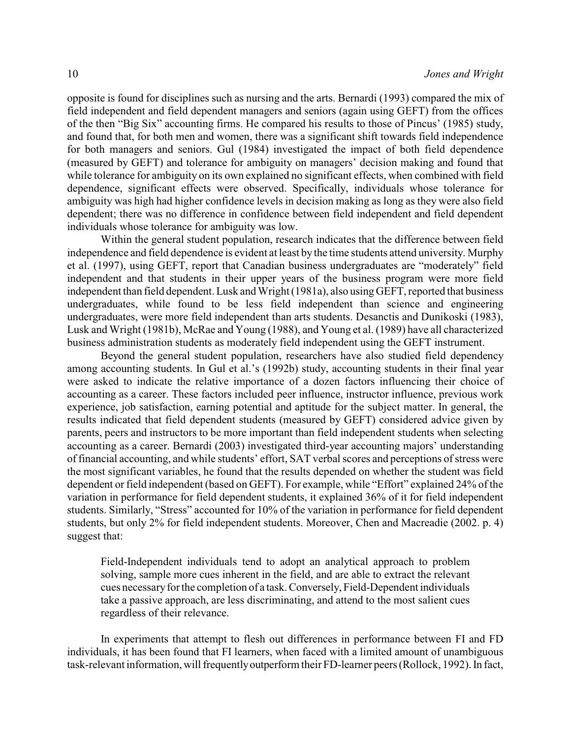opposite is found for disciplines such as nursing and the arts. Bernardi (1993) compared the mix of field independent and field dependent managers and seniors (again using GEFT) from the offices of the then "Big Six" accounting firms. He compared his results to those of Pincus' (1985) study, and found that, for both men and women, there was a significant shift towards field independence for both managers and seniors. Gul (1984) investigated the impact of both field dependence (measured by GEFT) and tolerance for ambiguity on managers' decision making and found that while tolerance for ambiguity on its own explained no significant effects, when combined with field dependence, significant effects were observed. Specifically, individuals whose tolerance for ambiguity was high had higher confidence levels in decision making as long as they were also field dependent; there was no difference in confidence between field independent and field dependent individuals whose tolerance for ambiguity was low.

Within the general student population, research indicates that the difference between field independence and field dependence is evident at least by the time students attend university. Murphy et al. (1997), using GEFT, report that Canadian business undergraduates are "moderately" field independent and that students in their upper years of the business program were more field independent than field dependent. Lusk and Wright (1981a), also using GEFT, reported that business undergraduates, while found to be less field independent than science and engineering undergraduates, were more field independent than arts students. Desanctis and Dunikoski (1983), Lusk and Wright (1981b), McRae and Young (1988), and Young et al. (1989) have all characterized business administration students as moderately field independent using the GEFT instrument.

Beyond the general student population, researchers have also studied field dependency among accounting students. In Gul et al.'s (1992b) study, accounting students in their final year were asked to indicate the relative importance of a dozen factors influencing their choice of accounting as a career. These factors included peer influence, instructor influence, previous work experience, job satisfaction, earning potential and aptitude for the subject matter. In general, the results indicated that field dependent students (measured by GEFT) considered advice given by parents, peers and instructors to be more important than field independent students when selecting accounting as a career. Bernardi (2003) investigated third-year accounting majors' understanding of financial accounting, and while students' effort, SAT verbal scores and perceptions of stress were the most significant variables, he found that the results depended on whether the student was field dependent or field independent (based on GEFT). For example, while "Effort" explained 24% of the variation in performance for field dependent students, it explained 36% of it for field independent students. Similarly, "Stress" accounted for 10% of the variation in performance for field dependent students, but only 2% for field independent students. Moreover, Chen and Macreadie (2002. p. 4) suggest that:

Field-Independent individuals tend to adopt an analytical approach to problem solving, sample more cues inherent in the field, and are able to extract the relevant cues necessaryfor the completion of a task. Conversely, Field-Dependent individuals take a passive approach, are less discriminating, and attend to the most salient cues regardless of their relevance.

In experiments that attempt to flesh out differences in performance between FI and FD individuals, it has been found that FI learners, when faced with a limited amount of unambiguous task-relevant information, will frequentlyoutperform their FD-learner peers (Rollock, 1992). In fact,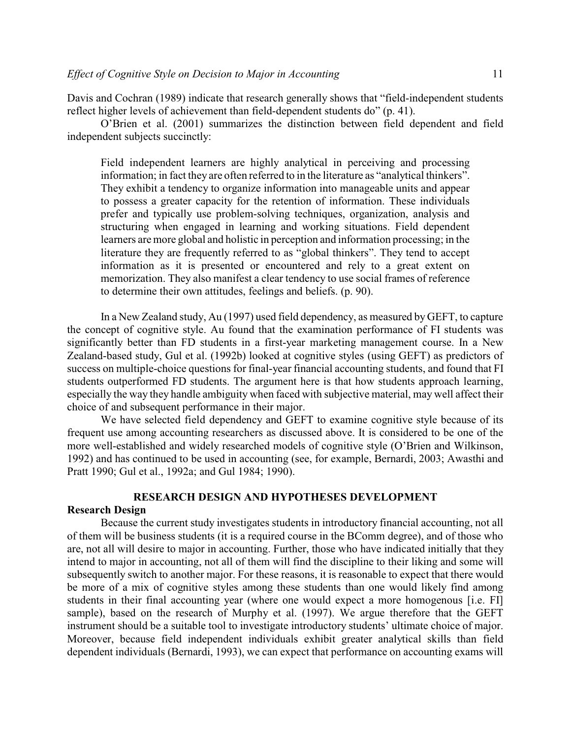Davis and Cochran (1989) indicate that research generally shows that "field-independent students reflect higher levels of achievement than field-dependent students do" (p. 41).

O'Brien et al. (2001) summarizes the distinction between field dependent and field independent subjects succinctly:

Field independent learners are highly analytical in perceiving and processing information; in fact they are often referred to in the literature as "analytical thinkers". They exhibit a tendency to organize information into manageable units and appear to possess a greater capacity for the retention of information. These individuals prefer and typically use problem-solving techniques, organization, analysis and structuring when engaged in learning and working situations. Field dependent learners aremore global and holistic in perception and information processing; in the literature they are frequently referred to as "global thinkers". They tend to accept information as it is presented or encountered and rely to a great extent on memorization. They also manifest a clear tendency to use social frames of reference to determine their own attitudes, feelings and beliefs. (p. 90).

In a New Zealand study, Au (1997) used field dependency, as measured by GEFT, to capture the concept of cognitive style. Au found that the examination performance of FI students was significantly better than FD students in a first-year marketing management course. In a New Zealand-based study, Gul et al. (1992b) looked at cognitive styles (using GEFT) as predictors of success on multiple-choice questions for final-year financial accounting students, and found that FI students outperformed FD students. The argument here is that how students approach learning, especially the way they handle ambiguity when faced with subjective material, may well affect their choice of and subsequent performance in their major.

We have selected field dependency and GEFT to examine cognitive style because of its frequent use among accounting researchers as discussed above. It is considered to be one of the more well-established and widely researched models of cognitive style (O'Brien and Wilkinson, 1992) and has continued to be used in accounting (see, for example, Bernardi, 2003; Awasthi and Pratt 1990; Gul et al., 1992a; and Gul 1984; 1990).

#### **RESEARCH DESIGN AND HYPOTHESES DEVELOPMENT**

#### **Research Design**

Because the current study investigates students in introductory financial accounting, not all of them will be business students (it is a required course in the BComm degree), and of those who are, not all will desire to major in accounting. Further, those who have indicated initially that they intend to major in accounting, not all of them will find the discipline to their liking and some will subsequently switch to another major. For these reasons, it is reasonable to expect that there would be more of a mix of cognitive styles among these students than one would likely find among students in their final accounting year (where one would expect a more homogenous [i.e. FI] sample), based on the research of Murphy et al. (1997). We argue therefore that the GEFT instrument should be a suitable tool to investigate introductory students' ultimate choice of major. Moreover, because field independent individuals exhibit greater analytical skills than field dependent individuals (Bernardi, 1993), we can expect that performance on accounting exams will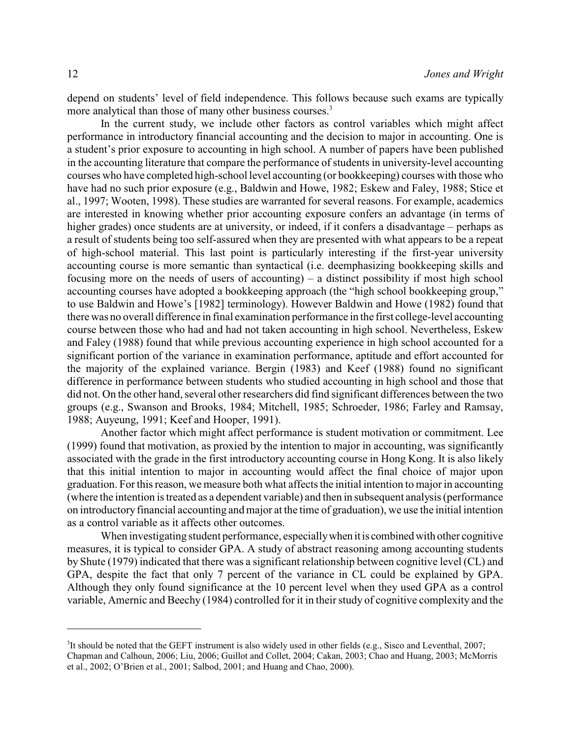depend on students' level of field independence. This follows because such exams are typically more analytical than those of many other business courses.<sup>3</sup>

In the current study, we include other factors as control variables which might affect performance in introductory financial accounting and the decision to major in accounting. One is a student's prior exposure to accounting in high school. A number of papers have been published in the accounting literature that compare the performance of students in university-level accounting courses who have completed high-school level accounting (or bookkeeping) courses with those who have had no such prior exposure (e.g., Baldwin and Howe, 1982; Eskew and Faley, 1988; Stice et al., 1997; Wooten, 1998). These studies are warranted for several reasons. For example, academics are interested in knowing whether prior accounting exposure confers an advantage (in terms of higher grades) once students are at university, or indeed, if it confers a disadvantage – perhaps as a result of students being too self-assured when they are presented with what appears to be a repeat of high-school material. This last point is particularly interesting if the first-year university accounting course is more semantic than syntactical (i.e. deemphasizing bookkeeping skills and focusing more on the needs of users of accounting) – a distinct possibility if most high school accounting courses have adopted a bookkeeping approach (the "high school bookkeeping group," to use Baldwin and Howe's [1982] terminology). However Baldwin and Howe (1982) found that therewas no overall difference in final examination performance in the first college-level accounting course between those who had and had not taken accounting in high school. Nevertheless, Eskew and Faley (1988) found that while previous accounting experience in high school accounted for a significant portion of the variance in examination performance, aptitude and effort accounted for the majority of the explained variance. Bergin (1983) and Keef (1988) found no significant difference in performance between students who studied accounting in high school and those that did not. On the other hand, several other researchers did find significant differences between the two groups (e.g., Swanson and Brooks, 1984; Mitchell, 1985; Schroeder, 1986; Farley and Ramsay, 1988; Auyeung, 1991; Keef and Hooper, 1991).

Another factor which might affect performance is student motivation or commitment. Lee (1999) found that motivation, as proxied by the intention to major in accounting, was significantly associated with the grade in the first introductory accounting course in Hong Kong. It is also likely that this initial intention to major in accounting would affect the final choice of major upon graduation. Forthis reason, we measure both what affects the initial intention to major in accounting (where the intention is treated as a dependent variable) and then in subsequent analysis (performance on introductory financial accounting and major at the time of graduation), we use the initial intention as a control variable as it affects other outcomes.

When investigating student performance, especially when it is combined with other cognitive measures, it is typical to consider GPA. A study of abstract reasoning among accounting students by Shute (1979) indicated that there was a significant relationship between cognitive level (CL) and GPA, despite the fact that only 7 percent of the variance in CL could be explained by GPA. Although they only found significance at the 10 percent level when they used GPA as a control variable, Amernic and Beechy (1984) controlled for it in their study of cognitive complexity and the

 ${}^{3}$ It should be noted that the GEFT instrument is also widely used in other fields (e.g., Sisco and Leventhal, 2007; Chapman and Calhoun, 2006; Liu, 2006; Guillot and Collet, 2004; Cakan, 2003; Chao and Huang, 2003; McMorris et al., 2002; O'Brien et al., 2001; Salbod, 2001; and Huang and Chao, 2000).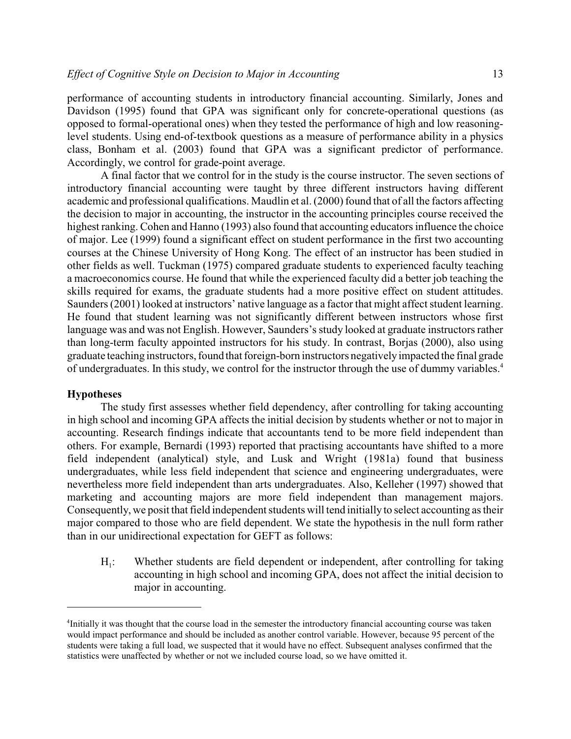performance of accounting students in introductory financial accounting. Similarly, Jones and Davidson (1995) found that GPA was significant only for concrete-operational questions (as opposed to formal-operational ones) when they tested the performance of high and low reasoninglevel students. Using end-of-textbook questions as a measure of performance ability in a physics class, Bonham et al. (2003) found that GPA was a significant predictor of performance. Accordingly, we control for grade-point average.

A final factor that we control for in the study is the course instructor. The seven sections of introductory financial accounting were taught by three different instructors having different academic and professional qualifications. Maudlin et al. (2000) found that of all the factors affecting the decision to major in accounting, the instructor in the accounting principles course received the highest ranking. Cohen and Hanno (1993) also found that accounting educators influence the choice of major. Lee (1999) found a significant effect on student performance in the first two accounting courses at the Chinese University of Hong Kong. The effect of an instructor has been studied in other fields as well. Tuckman (1975) compared graduate students to experienced faculty teaching a macroeconomics course. He found that while the experienced faculty did a better job teaching the skills required for exams, the graduate students had a more positive effect on student attitudes. Saunders (2001) looked at instructors' native language as a factor that might affect student learning. He found that student learning was not significantly different between instructors whose first language was and was not English. However, Saunders's study looked at graduate instructors rather than long-term faculty appointed instructors for his study. In contrast, Borjas (2000), also using graduate teaching instructors, found that foreign-born instructors negativelyimpacted the final grade of undergraduates. In this study, we control for the instructor through the use of dummy variables.<sup>4</sup>

#### **Hypotheses**

The study first assesses whether field dependency, after controlling for taking accounting in high school and incoming GPA affects the initial decision by students whether or not to major in accounting. Research findings indicate that accountants tend to be more field independent than others. For example, Bernardi (1993) reported that practising accountants have shifted to a more field independent (analytical) style, and Lusk and Wright (1981a) found that business undergraduates, while less field independent that science and engineering undergraduates, were nevertheless more field independent than arts undergraduates. Also, Kelleher (1997) showed that marketing and accounting majors are more field independent than management majors. Consequently, we posit that field independent students will tend initially to select accounting as their major compared to those who are field dependent. We state the hypothesis in the null form rather than in our unidirectional expectation for GEFT as follows:

 $H_{1}:$ : Whether students are field dependent or independent, after controlling for taking accounting in high school and incoming GPA, does not affect the initial decision to major in accounting.

<sup>&</sup>lt;sup>4</sup>Initially it was thought that the course load in the semester the introductory financial accounting course was taken would impact performance and should be included as another control variable. However, because 95 percent of the students were taking a full load, we suspected that it would have no effect. Subsequent analyses confirmed that the statistics were unaffected by whether or not we included course load, so we have omitted it.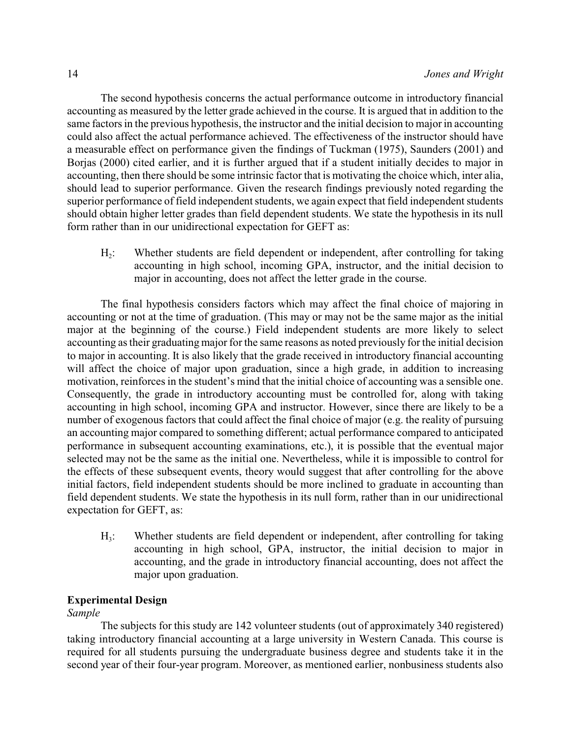The second hypothesis concerns the actual performance outcome in introductory financial accounting as measured by the letter grade achieved in the course. It is argued that in addition to the same factors in the previous hypothesis, the instructor and the initial decision to major in accounting could also affect the actual performance achieved. The effectiveness of the instructor should have a measurable effect on performance given the findings of Tuckman (1975), Saunders (2001) and Borjas (2000) cited earlier, and it is further argued that if a student initially decides to major in accounting, then there should be some intrinsic factor that is motivating the choice which, inter alia, should lead to superior performance. Given the research findings previously noted regarding the superior performance of field independent students, we again expect that field independent students should obtain higher letter grades than field dependent students. We state the hypothesis in its null form rather than in our unidirectional expectation for GEFT as:

 $H<sub>2</sub>$ : : Whether students are field dependent or independent, after controlling for taking accounting in high school, incoming GPA, instructor, and the initial decision to major in accounting, does not affect the letter grade in the course.

The final hypothesis considers factors which may affect the final choice of majoring in accounting or not at the time of graduation. (This may or may not be the same major as the initial major at the beginning of the course.) Field independent students are more likely to select accounting as their graduating major for the same reasons as noted previously for the initial decision to major in accounting. It is also likely that the grade received in introductory financial accounting will affect the choice of major upon graduation, since a high grade, in addition to increasing motivation, reinforces in the student's mind that the initial choice of accounting was a sensible one. Consequently, the grade in introductory accounting must be controlled for, along with taking accounting in high school, incoming GPA and instructor. However, since there are likely to be a number of exogenous factors that could affect the final choice of major (e.g. the reality of pursuing an accounting major compared to something different; actual performance compared to anticipated performance in subsequent accounting examinations, etc.), it is possible that the eventual major selected may not be the same as the initial one. Nevertheless, while it is impossible to control for the effects of these subsequent events, theory would suggest that after controlling for the above initial factors, field independent students should be more inclined to graduate in accounting than field dependent students. We state the hypothesis in its null form, rather than in our unidirectional expectation for GEFT, as:

 $H<sub>3</sub>$ : : Whether students are field dependent or independent, after controlling for taking accounting in high school, GPA, instructor, the initial decision to major in accounting, and the grade in introductory financial accounting, does not affect the major upon graduation.

# **Experimental Design**

# *Sample*

The subjects for this study are 142 volunteer students (out of approximately 340 registered) taking introductory financial accounting at a large university in Western Canada. This course is required for all students pursuing the undergraduate business degree and students take it in the second year of their four-year program. Moreover, as mentioned earlier, nonbusiness students also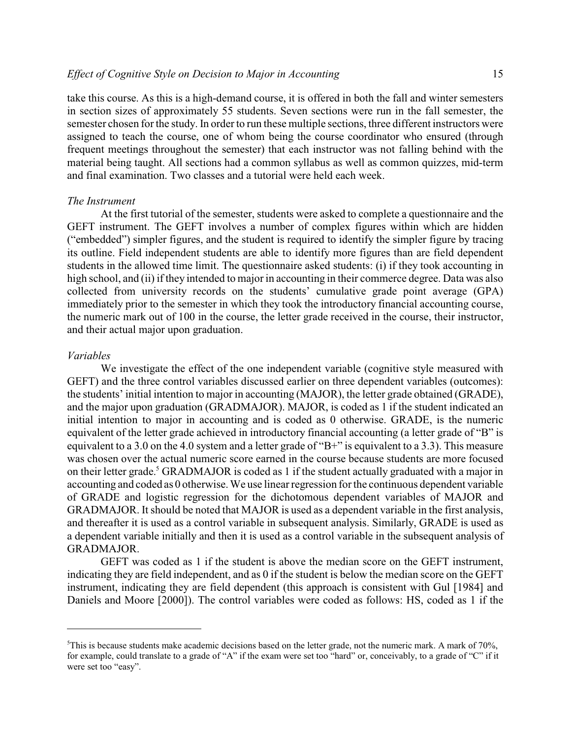take this course. As this is a high-demand course, it is offered in both the fall and winter semesters in section sizes of approximately 55 students. Seven sections were run in the fall semester, the semester chosen for the study. In order to run these multiple sections, three different instructors were assigned to teach the course, one of whom being the course coordinator who ensured (through frequent meetings throughout the semester) that each instructor was not falling behind with the material being taught. All sections had a common syllabus as well as common quizzes, mid-term and final examination. Two classes and a tutorial were held each week.

#### *The Instrument*

At the first tutorial of the semester, students were asked to complete a questionnaire and the GEFT instrument. The GEFT involves a number of complex figures within which are hidden ("embedded") simpler figures, and the student is required to identify the simpler figure by tracing its outline. Field independent students are able to identify more figures than are field dependent students in the allowed time limit. The questionnaire asked students: (i) if they took accounting in high school, and (ii) if they intended to major in accounting in their commerce degree. Data was also collected from university records on the students' cumulative grade point average (GPA) immediately prior to the semester in which they took the introductory financial accounting course, the numeric mark out of 100 in the course, the letter grade received in the course, their instructor, and their actual major upon graduation.

#### *Variables*

We investigate the effect of the one independent variable (cognitive style measured with GEFT) and the three control variables discussed earlier on three dependent variables (outcomes): the students' initial intention to major in accounting (MAJOR), the letter grade obtained (GRADE), and the major upon graduation (GRADMAJOR). MAJOR, is coded as 1 if the student indicated an initial intention to major in accounting and is coded as 0 otherwise. GRADE, is the numeric equivalent of the letter grade achieved in introductory financial accounting (a letter grade of "B" is equivalent to a 3.0 on the 4.0 system and a letter grade of "B+" is equivalent to a 3.3). This measure was chosen over the actual numeric score earned in the course because students are more focused on their letter grade.<sup>5</sup> GRADMAJOR is coded as 1 if the student actually graduated with a major in accounting and coded as 0 otherwise. We use linear regression for the continuous dependent variable of GRADE and logistic regression for the dichotomous dependent variables of MAJOR and GRADMAJOR. It should be noted that MAJOR is used as a dependent variable in the first analysis, and thereafter it is used as a control variable in subsequent analysis. Similarly, GRADE is used as a dependent variable initially and then it is used as a control variable in the subsequent analysis of GRADMAJOR.

GEFT was coded as 1 if the student is above the median score on the GEFT instrument, indicating they are field independent, and as 0 if the student is below the median score on the GEFT instrument, indicating they are field dependent (this approach is consistent with Gul [1984] and Daniels and Moore [2000]). The control variables were coded as follows: HS, coded as 1 if the

 $5$ This is because students make academic decisions based on the letter grade, not the numeric mark. A mark of 70%, for example, could translate to a grade of "A" if the exam were set too "hard" or, conceivably, to a grade of "C" if it were set too "easy".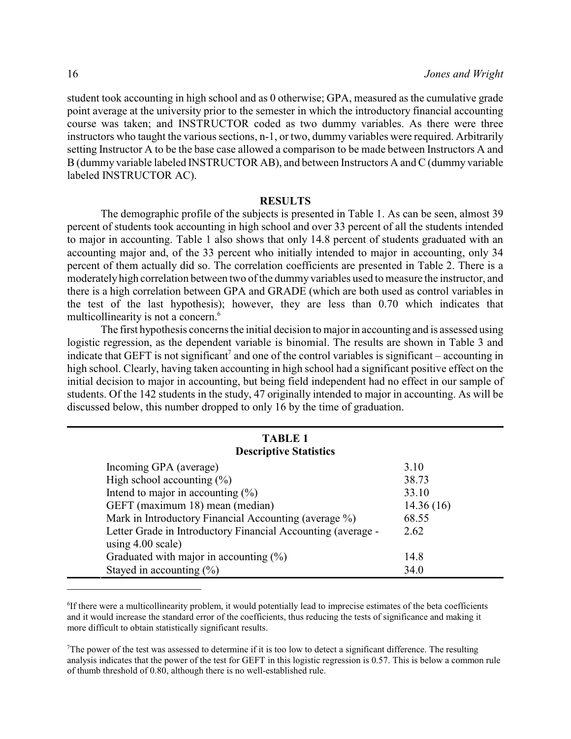student took accounting in high school and as 0 otherwise; GPA, measured as the cumulative grade point average at the university prior to the semester in which the introductory financial accounting course was taken; and INSTRUCTOR coded as two dummy variables. As there were three instructors who taught the various sections, n-1, or two, dummy variables were required. Arbitrarily setting Instructor A to be the base case allowed a comparison to be made between Instructors A and B (dummy variable labeled INSTRUCTOR AB), and between Instructors A and C (dummy variable labeled INSTRUCTOR AC).

## **RESULTS**

The demographic profile of the subjects is presented in Table 1. As can be seen, almost 39 percent of students took accounting in high school and over 33 percent of all the students intended to major in accounting. Table 1 also shows that only 14.8 percent of students graduated with an accounting major and, of the 33 percent who initially intended to major in accounting, only 34 percent of them actually did so. The correlation coefficients are presented in Table 2. There is a moderately high correlation between two of the dummy variables used to measure the instructor, and there is a high correlation between GPA and GRADE (which are both used as control variables in the test of the last hypothesis); however, they are less than 0.70 which indicates that multicollinearity is not a concern.<sup>6</sup>

The first hypothesis concerns the initial decision to major in accounting and is assessed using logistic regression, as the dependent variable is binomial. The results are shown in Table 3 and indicate that GEFT is not significant<sup>7</sup> and one of the control variables is significant – accounting in high school. Clearly, having taken accounting in high school had a significant positive effect on the initial decision to major in accounting, but being field independent had no effect in our sample of students. Of the 142 students in the study, 47 originally intended to major in accounting. As will be discussed below, this number dropped to only 16 by the time of graduation.

| <b>TABLE 1</b><br><b>Descriptive Statistics</b>                                     |           |  |  |  |  |
|-------------------------------------------------------------------------------------|-----------|--|--|--|--|
| Incoming GPA (average)                                                              | 3.10      |  |  |  |  |
| High school accounting $(\%)$                                                       | 38.73     |  |  |  |  |
| Intend to major in accounting $(\%)$                                                | 33.10     |  |  |  |  |
| GEFT (maximum 18) mean (median)                                                     | 14.36(16) |  |  |  |  |
| Mark in Introductory Financial Accounting (average %)                               | 68.55     |  |  |  |  |
| Letter Grade in Introductory Financial Accounting (average -<br>using $4.00$ scale) | 2.62      |  |  |  |  |
| Graduated with major in accounting $(\%)$                                           | 14.8      |  |  |  |  |
| Stayed in accounting $(\% )$                                                        | 34.0      |  |  |  |  |

<sup>&</sup>lt;sup>6</sup>If there were a multicollinearity problem, it would potentially lead to imprecise estimates of the beta coefficients and it would increase the standard error of the coefficients, thus reducing the tests of significance and making it more difficult to obtain statistically significant results.

The power of the test was assessed to determine if it is too low to detect a significant difference. The resulting analysis indicates that the power of the test for GEFT in this logistic regression is 0.57. This is below a common rule of thumb threshold of 0.80, although there is no well-established rule.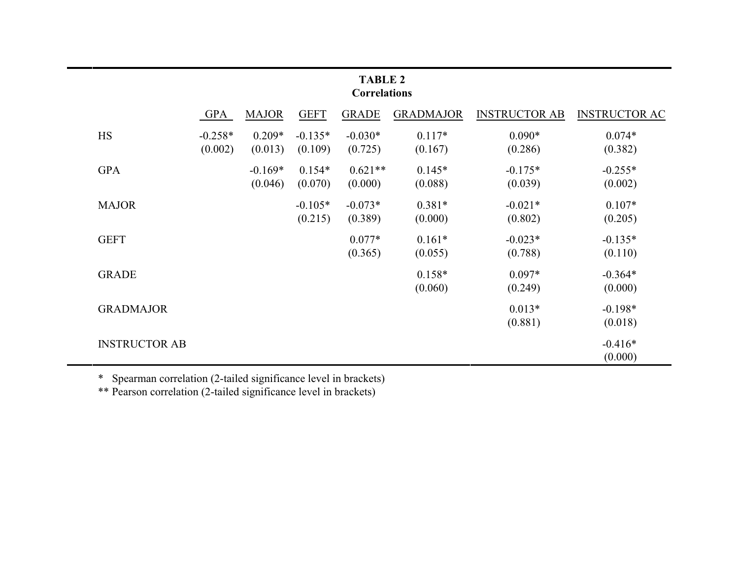| <b>TABLE 2</b><br><b>Correlations</b> |                      |                      |                      |                      |                      |                     |                      |                      |
|---------------------------------------|----------------------|----------------------|----------------------|----------------------|----------------------|---------------------|----------------------|----------------------|
|                                       |                      | GPA                  | <b>MAJOR</b>         | <b>GEFT</b>          | <b>GRADE</b>         | <b>GRADMAJOR</b>    | <b>INSTRUCTOR AB</b> | <b>INSTRUCTOR AC</b> |
| <b>HS</b>                             |                      | $-0.258*$<br>(0.002) | $0.209*$<br>(0.013)  | $-0.135*$<br>(0.109) | $-0.030*$<br>(0.725) | $0.117*$<br>(0.167) | $0.090*$<br>(0.286)  | $0.074*$<br>(0.382)  |
|                                       | <b>GPA</b>           |                      | $-0.169*$<br>(0.046) | $0.154*$<br>(0.070)  | $0.621**$<br>(0.000) | $0.145*$<br>(0.088) | $-0.175*$<br>(0.039) | $-0.255*$<br>(0.002) |
|                                       | <b>MAJOR</b>         |                      |                      | $-0.105*$<br>(0.215) | $-0.073*$<br>(0.389) | $0.381*$<br>(0.000) | $-0.021*$<br>(0.802) | $0.107*$<br>(0.205)  |
|                                       | <b>GEFT</b>          |                      |                      |                      | $0.077*$<br>(0.365)  | $0.161*$<br>(0.055) | $-0.023*$<br>(0.788) | $-0.135*$<br>(0.110) |
|                                       | <b>GRADE</b>         |                      |                      |                      |                      | $0.158*$<br>(0.060) | $0.097*$<br>(0.249)  | $-0.364*$<br>(0.000) |
|                                       | <b>GRADMAJOR</b>     |                      |                      |                      |                      |                     | $0.013*$<br>(0.881)  | $-0.198*$<br>(0.018) |
|                                       | <b>INSTRUCTOR AB</b> |                      |                      |                      |                      |                     |                      | $-0.416*$<br>(0.000) |

\* Spearman correlation (2-tailed significance level in brackets)

\*\* Pearson correlation (2-tailed significance level in brackets)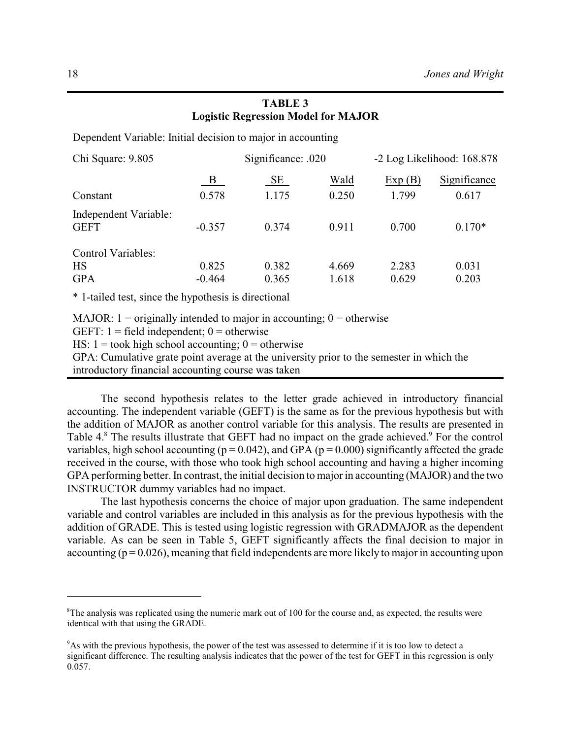# **TABLE 3 Logistic Regression Model for MAJOR**

Dependent Variable: Initial decision to major in accounting

| Chi Square: 9.805                                                                                                          |          | Significance: .020 | -2 Log Likelihood: 168.878 |        |              |
|----------------------------------------------------------------------------------------------------------------------------|----------|--------------------|----------------------------|--------|--------------|
|                                                                                                                            | B        | SE                 | Wald                       | Exp(B) | Significance |
| Constant                                                                                                                   | 0.578    | 1.175              | 0.250                      | 1.799  | 0.617        |
| Independent Variable:                                                                                                      |          |                    |                            |        |              |
| <b>GEFT</b>                                                                                                                | $-0.357$ | 0.374              | 0.911                      | 0.700  | $0.170*$     |
| Control Variables:                                                                                                         |          |                    |                            |        |              |
| <b>HS</b>                                                                                                                  | 0.825    | 0.382              | 4.669                      | 2.283  | 0.031        |
| <b>GPA</b>                                                                                                                 | $-0.464$ | 0.365              | 1.618                      | 0.629  | 0.203        |
| * 1-tailed test, since the hypothesis is directional                                                                       |          |                    |                            |        |              |
| MAJOR: $1 =$ originally intended to major in accounting; $0 =$ otherwise<br>GEFT: $1 =$ field independent; $0 =$ otherwise |          |                    |                            |        |              |

HS:  $1 =$  took high school accounting;  $0 =$  otherwise

GPA: Cumulative grate point average at the university prior to the semester in which the

introductory financial accounting course was taken

The second hypothesis relates to the letter grade achieved in introductory financial accounting. The independent variable (GEFT) is the same as for the previous hypothesis but with the addition of MAJOR as another control variable for this analysis. The results are presented in Table 4.<sup>8</sup> The results illustrate that GEFT had no impact on the grade achieved.<sup>9</sup> For the control variables, high school accounting ( $p = 0.042$ ), and GPA ( $p = 0.000$ ) significantly affected the grade received in the course, with those who took high school accounting and having a higher incoming GPA performing better. In contrast, the initial decision to major in accounting (MAJOR) and the two INSTRUCTOR dummy variables had no impact.

The last hypothesis concerns the choice of major upon graduation. The same independent variable and control variables are included in this analysis as for the previous hypothesis with the addition of GRADE. This is tested using logistic regression with GRADMAJOR as the dependent variable. As can be seen in Table 5, GEFT significantly affects the final decision to major in accounting ( $p = 0.026$ ), meaning that field independents are more likely to major in accounting upon

 ${}^8$ The analysis was replicated using the numeric mark out of 100 for the course and, as expected, the results were identical with that using the GRADE.

<sup>&</sup>lt;sup>9</sup>As with the previous hypothesis, the power of the test was assessed to determine if it is too low to detect a significant difference. The resulting analysis indicates that the power of the test for GEFT in this regression is only 0.057.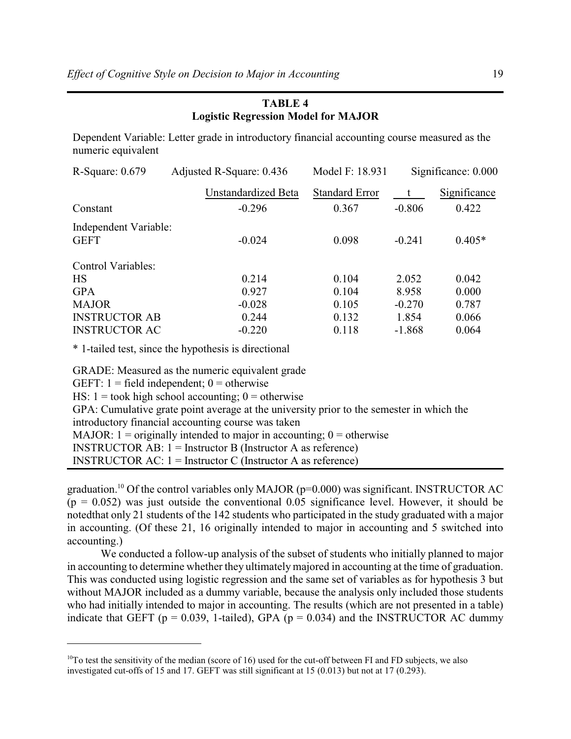# **TABLE 4 Logistic Regression Model for MAJOR**

Dependent Variable: Letter grade in introductory financial accounting course measured as the numeric equivalent

| R-Square: $0.679$                    | Adjusted R-Square: 0.436 | Model F: 18.931       | Significance: 0.000 |              |
|--------------------------------------|--------------------------|-----------------------|---------------------|--------------|
|                                      | Unstandardized Beta      | <b>Standard Error</b> | $-t$                | Significance |
| Constant                             | $-0.296$                 | 0.367                 | $-0.806$            | 0.422        |
| Independent Variable:<br><b>GEFT</b> | $-0.024$                 | 0.098                 | $-0.241$            | $0.405*$     |
| Control Variables:                   |                          |                       |                     |              |
| <b>HS</b>                            | 0.214                    | 0.104                 | 2.052               | 0.042        |
| <b>GPA</b>                           | 0.927                    | 0.104                 | 8.958               | 0.000        |
| <b>MAJOR</b>                         | $-0.028$                 | 0.105                 | $-0.270$            | 0.787        |
| <b>INSTRUCTOR AB</b>                 | 0.244                    | 0.132                 | 1.854               | 0.066        |
| <b>INSTRUCTOR AC</b>                 | $-0.220$                 | 0.118                 | $-1.868$            | 0.064        |

\* 1-tailed test, since the hypothesis is directional

GRADE: Measured as the numeric equivalent grade GEFT:  $1 =$  field independent;  $0 =$  otherwise HS:  $1 =$  took high school accounting;  $0 =$  otherwise GPA: Cumulative grate point average at the university prior to the semester in which the introductory financial accounting course was taken MAJOR:  $1 =$  originally intended to major in accounting;  $0 =$  otherwise INSTRUCTOR AB:  $1 =$  Instructor B (Instructor A as reference) INSTRUCTOR AC:  $1 =$  Instructor C (Instructor A as reference)

graduation.<sup>10</sup> Of the control variables only MAJOR ( $p=0.000$ ) was significant. INSTRUCTOR AC  $(p = 0.052)$  was just outside the conventional 0.05 significance level. However, it should be notedthat only 21 students of the 142 students who participated in the study graduated with a major in accounting. (Of these 21, 16 originally intended to major in accounting and 5 switched into accounting.)

We conducted a follow-up analysis of the subset of students who initially planned to major in accounting to determine whether they ultimately majored in accounting at the time of graduation. This was conducted using logistic regression and the same set of variables as for hypothesis 3 but without MAJOR included as a dummy variable, because the analysis only included those students who had initially intended to major in accounting. The results (which are not presented in a table) indicate that GEFT ( $p = 0.039$ , 1-tailed), GPA ( $p = 0.034$ ) and the INSTRUCTOR AC dummy

 $^{10}$ To test the sensitivity of the median (score of 16) used for the cut-off between FI and FD subjects, we also investigated cut-offs of 15 and 17. GEFT was still significant at 15 (0.013) but not at 17 (0.293).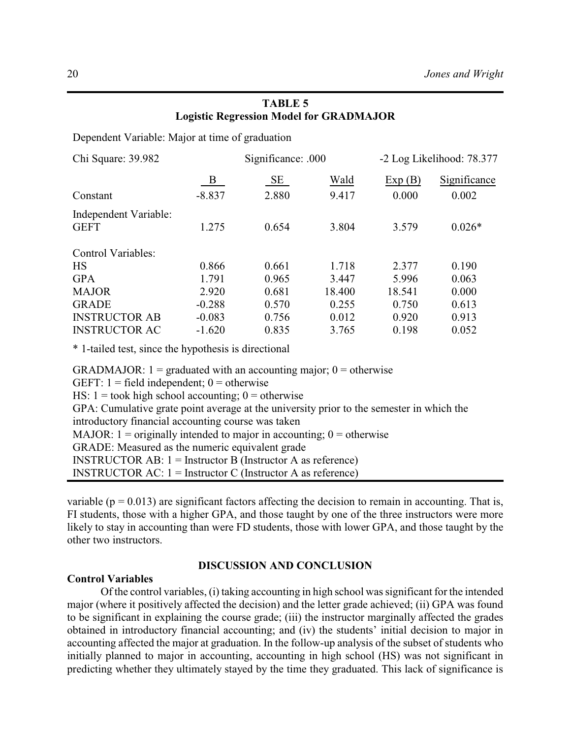# **TABLE 5 Logistic Regression Model for GRADMAJOR**

Dependent Variable: Major at time of graduation

| Chi Square: 39.982                   |          | Significance: .000 | -2 Log Likelihood: 78.377 |        |              |
|--------------------------------------|----------|--------------------|---------------------------|--------|--------------|
|                                      | B        | SE                 | Wald                      | Exp(B) | Significance |
| Constant                             | $-8.837$ | 2.880              | 9.417                     | 0.000  | 0.002        |
| Independent Variable:<br><b>GEFT</b> | 1.275    | 0.654              | 3.804                     | 3.579  | $0.026*$     |
| Control Variables:                   |          |                    |                           |        |              |
| <b>HS</b>                            | 0.866    | 0.661              | 1.718                     | 2.377  | 0.190        |
| <b>GPA</b>                           | 1.791    | 0.965              | 3.447                     | 5.996  | 0.063        |
| <b>MAJOR</b>                         | 2.920    | 0.681              | 18.400                    | 18.541 | 0.000        |
| <b>GRADE</b>                         | $-0.288$ | 0.570              | 0.255                     | 0.750  | 0.613        |
| <b>INSTRUCTOR AB</b>                 | $-0.083$ | 0.756              | 0.012                     | 0.920  | 0.913        |
| <b>INSTRUCTOR AC</b>                 | $-1.620$ | 0.835              | 3.765                     | 0.198  | 0.052        |

\* 1-tailed test, since the hypothesis is directional

GRADMAJOR:  $1 =$  graduated with an accounting major;  $0 =$  otherwise GEFT:  $1 =$  field independent;  $0 =$  otherwise HS:  $1 =$  took high school accounting;  $0 =$  otherwise GPA: Cumulative grate point average at the university prior to the semester in which the introductory financial accounting course was taken MAJOR:  $1 =$  originally intended to major in accounting;  $0 =$  otherwise GRADE: Measured as the numeric equivalent grade INSTRUCTOR AB: 1 = Instructor B (Instructor A as reference) INSTRUCTOR AC:  $1 =$  Instructor C (Instructor A as reference)

variable ( $p = 0.013$ ) are significant factors affecting the decision to remain in accounting. That is, FI students, those with a higher GPA, and those taught by one of the three instructors were more likely to stay in accounting than were FD students, those with lower GPA, and those taught by the other two instructors.

# **Control Variables**

# **DISCUSSION AND CONCLUSION**

Of the control variables, (i) taking accounting in high school was significant for the intended major (where it positively affected the decision) and the letter grade achieved; (ii) GPA was found to be significant in explaining the course grade; (iii) the instructor marginally affected the grades obtained in introductory financial accounting; and (iv) the students' initial decision to major in accounting affected the major at graduation. In the follow-up analysis of the subset of students who initially planned to major in accounting, accounting in high school (HS) was not significant in predicting whether they ultimately stayed by the time they graduated. This lack of significance is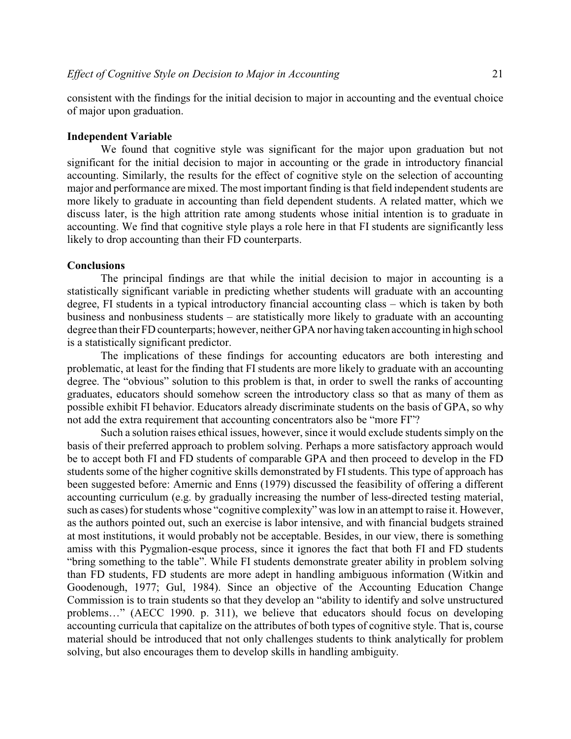consistent with the findings for the initial decision to major in accounting and the eventual choice of major upon graduation.

#### **Independent Variable**

We found that cognitive style was significant for the major upon graduation but not significant for the initial decision to major in accounting or the grade in introductory financial accounting. Similarly, the results for the effect of cognitive style on the selection of accounting major and performance are mixed. The most important finding is that field independent students are more likely to graduate in accounting than field dependent students. A related matter, which we discuss later, is the high attrition rate among students whose initial intention is to graduate in accounting. We find that cognitive style plays a role here in that FI students are significantly less likely to drop accounting than their FD counterparts.

#### **Conclusions**

The principal findings are that while the initial decision to major in accounting is a statistically significant variable in predicting whether students will graduate with an accounting degree, FI students in a typical introductory financial accounting class – which is taken by both business and nonbusiness students – are statistically more likely to graduate with an accounting degree than their FD counterparts; however, neither GPA nor having taken accounting in high school is a statistically significant predictor.

The implications of these findings for accounting educators are both interesting and problematic, at least for the finding that FI students are more likely to graduate with an accounting degree. The "obvious" solution to this problem is that, in order to swell the ranks of accounting graduates, educators should somehow screen the introductory class so that as many of them as possible exhibit FI behavior. Educators already discriminate students on the basis of GPA, so why not add the extra requirement that accounting concentrators also be "more FI"?

Such a solution raises ethical issues, however, since it would exclude students simply on the basis of their preferred approach to problem solving. Perhaps a more satisfactory approach would be to accept both FI and FD students of comparable GPA and then proceed to develop in the FD students some of the higher cognitive skills demonstrated by FI students. This type of approach has been suggested before: Amernic and Enns (1979) discussed the feasibility of offering a different accounting curriculum (e.g. by gradually increasing the number of less-directed testing material, such as cases) for students whose "cognitive complexity" was low in an attempt to raise it. However, as the authors pointed out, such an exercise is labor intensive, and with financial budgets strained at most institutions, it would probably not be acceptable. Besides, in our view, there is something amiss with this Pygmalion-esque process, since it ignores the fact that both FI and FD students "bring something to the table". While FI students demonstrate greater ability in problem solving than FD students, FD students are more adept in handling ambiguous information (Witkin and Goodenough, 1977; Gul, 1984). Since an objective of the Accounting Education Change Commission is to train students so that they develop an "ability to identify and solve unstructured problems…" (AECC 1990. p. 311), we believe that educators should focus on developing accounting curricula that capitalize on the attributes of both types of cognitive style. That is, course material should be introduced that not only challenges students to think analytically for problem solving, but also encourages them to develop skills in handling ambiguity.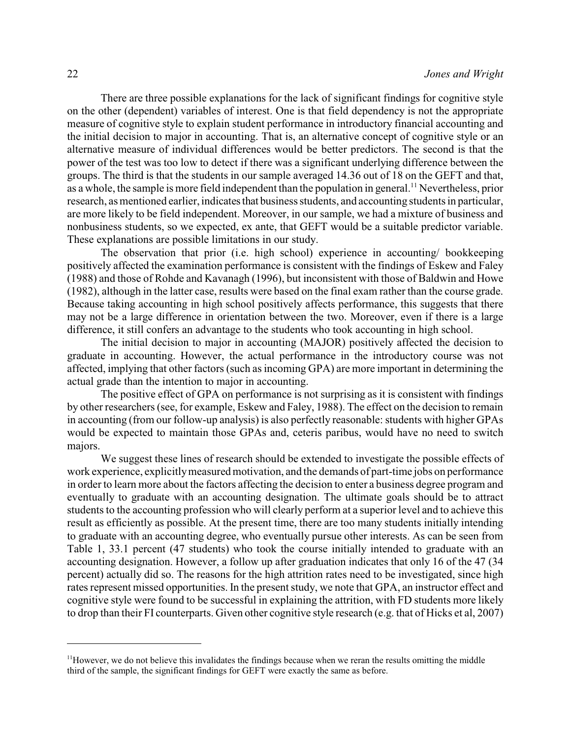There are three possible explanations for the lack of significant findings for cognitive style on the other (dependent) variables of interest. One is that field dependency is not the appropriate measure of cognitive style to explain student performance in introductory financial accounting and the initial decision to major in accounting. That is, an alternative concept of cognitive style or an alternative measure of individual differences would be better predictors. The second is that the power of the test was too low to detect if there was a significant underlying difference between the groups. The third is that the students in our sample averaged 14.36 out of 18 on the GEFT and that, as a whole, the sample is more field independent than the population in general.<sup>11</sup> Nevertheless, prior research, as mentioned earlier, indicates that business students, and accounting students in particular, are more likely to be field independent. Moreover, in our sample, we had a mixture of business and nonbusiness students, so we expected, ex ante, that GEFT would be a suitable predictor variable. These explanations are possible limitations in our study.

The observation that prior (i.e. high school) experience in accounting/ bookkeeping positively affected the examination performance is consistent with the findings of Eskew and Faley (1988) and those of Rohde and Kavanagh (1996), but inconsistent with those of Baldwin and Howe (1982), although in the latter case, results were based on the final exam rather than the course grade. Because taking accounting in high school positively affects performance, this suggests that there may not be a large difference in orientation between the two. Moreover, even if there is a large difference, it still confers an advantage to the students who took accounting in high school.

The initial decision to major in accounting (MAJOR) positively affected the decision to graduate in accounting. However, the actual performance in the introductory course was not affected, implying that other factors (such as incoming GPA) are more important in determining the actual grade than the intention to major in accounting.

The positive effect of GPA on performance is not surprising as it is consistent with findings by other researchers (see, for example, Eskew and Faley, 1988). The effect on the decision to remain in accounting (from our follow-up analysis) is also perfectly reasonable: students with higher GPAs would be expected to maintain those GPAs and, ceteris paribus, would have no need to switch majors.

We suggest these lines of research should be extended to investigate the possible effects of work experience, explicitlymeasured motivation, and the demands of part-time jobs on performance in order to learn more about the factors affecting the decision to enter a business degree program and eventually to graduate with an accounting designation. The ultimate goals should be to attract students to the accounting profession who will clearly perform at a superior level and to achieve this result as efficiently as possible. At the present time, there are too many students initially intending to graduate with an accounting degree, who eventually pursue other interests. As can be seen from Table 1, 33.1 percent (47 students) who took the course initially intended to graduate with an accounting designation. However, a follow up after graduation indicates that only 16 of the 47 (34 percent) actually did so. The reasons for the high attrition rates need to be investigated, since high rates represent missed opportunities. In the present study, we note that GPA, an instructor effect and cognitive style were found to be successful in explaining the attrition, with FD students more likely to drop than their FI counterparts. Given other cognitive style research (e.g. that of Hicks et al, 2007)

 $<sup>11</sup>$  However, we do not believe this invalidates the findings because when we reran the results omitting the middle</sup> third of the sample, the significant findings for GEFT were exactly the same as before.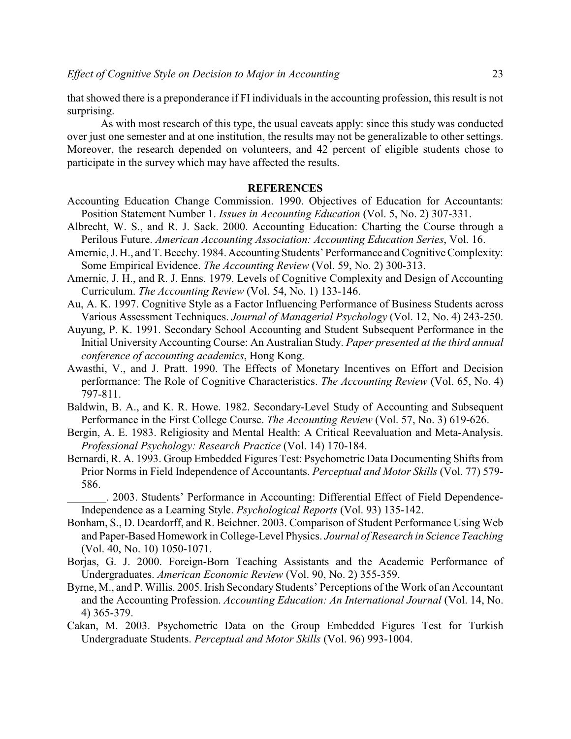that showed there is a preponderance if FI individuals in the accounting profession, this result is not surprising.

As with most research of this type, the usual caveats apply: since this study was conducted over just one semester and at one institution, the results may not be generalizable to other settings. Moreover, the research depended on volunteers, and 42 percent of eligible students chose to participate in the survey which may have affected the results.

#### **REFERENCES**

- Accounting Education Change Commission. 1990. Objectives of Education for Accountants: Position Statement Number 1. *Issues in Accounting Education* (Vol. 5, No. 2) 307-331.
- Albrecht, W. S., and R. J. Sack. 2000. Accounting Education: Charting the Course through a Perilous Future. *American Accounting Association: Accounting Education Series*, Vol. 16.
- Amernic, J. H., and T. Beechy. 1984. Accounting Students' Performance and Cognitive Complexity: Some Empirical Evidence. *The Accounting Review* (Vol. 59, No. 2) 300-313.
- Amernic, J. H., and R. J. Enns. 1979. Levels of Cognitive Complexity and Design of Accounting Curriculum. *The Accounting Review* (Vol. 54, No. 1) 133-146.
- Au, A. K. 1997. Cognitive Style as a Factor Influencing Performance of Business Students across Various Assessment Techniques. *Journal of Managerial Psychology* (Vol. 12, No. 4) 243-250.
- Auyung, P. K. 1991. Secondary School Accounting and Student Subsequent Performance in the Initial University Accounting Course: An Australian Study. *Paper presented at the third annual conference of accounting academics*, Hong Kong.
- Awasthi, V., and J. Pratt. 1990. The Effects of Monetary Incentives on Effort and Decision performance: The Role of Cognitive Characteristics. *The Accounting Review* (Vol. 65, No. 4) 797-811.
- Baldwin, B. A., and K. R. Howe. 1982. Secondary-Level Study of Accounting and Subsequent Performance in the First College Course. *The Accounting Review* (Vol. 57, No. 3) 619-626.
- Bergin, A. E. 1983. Religiosity and Mental Health: A Critical Reevaluation and Meta-Analysis. *Professional Psychology: Research Practice* (Vol. 14) 170-184.
- Bernardi, R. A. 1993. Group Embedded Figures Test: Psychometric Data Documenting Shifts from Prior Norms in Field Independence of Accountants. *Perceptual and Motor Skills* (Vol. 77) 579- 586.
- \_\_\_\_\_\_\_. 2003. Students' Performance in Accounting: Differential Effect of Field Dependence-Independence as a Learning Style. *Psychological Reports* (Vol. 93) 135-142.
- Bonham, S., D. Deardorff, and R. Beichner. 2003. Comparison of Student Performance Using Web and Paper-Based Homework in College-Level Physics. *Journal of Research in Science Teaching* (Vol. 40, No. 10) 1050-1071.
- Borjas, G. J. 2000. Foreign-Born Teaching Assistants and the Academic Performance of Undergraduates. *American Economic Review* (Vol. 90, No. 2) 355-359.
- Byrne, M., and P. Willis. 2005. Irish Secondary Students' Perceptions of the Work of an Accountant and the Accounting Profession. *Accounting Education: An International Journal* (Vol. 14, No. 4) 365-379.
- Cakan, M. 2003. Psychometric Data on the Group Embedded Figures Test for Turkish Undergraduate Students. *Perceptual and Motor Skills* (Vol. 96) 993-1004.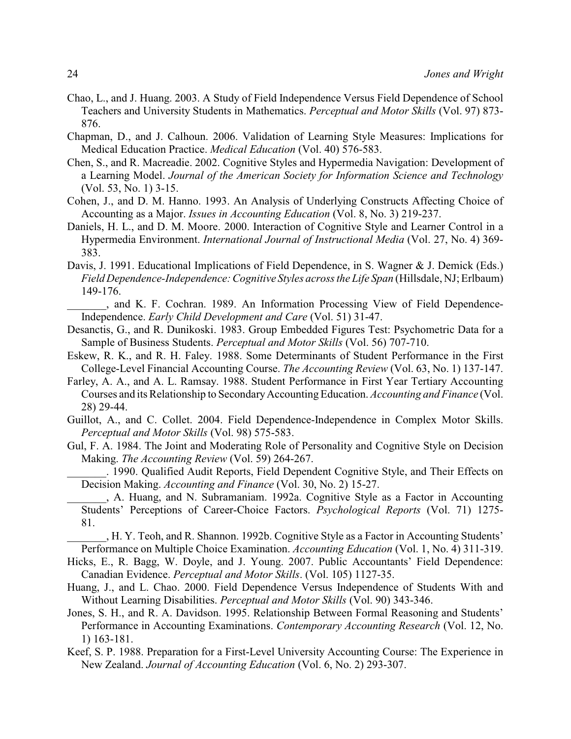- Chao, L., and J. Huang. 2003. A Study of Field Independence Versus Field Dependence of School Teachers and University Students in Mathematics. *Perceptual and Motor Skills* (Vol. 97) 873- 876.
- Chapman, D., and J. Calhoun. 2006. Validation of Learning Style Measures: Implications for Medical Education Practice. *Medical Education* (Vol. 40) 576-583.
- Chen, S., and R. Macreadie. 2002. Cognitive Styles and Hypermedia Navigation: Development of a Learning Model. *Journal of the American Society for Information Science and Technology* (Vol. 53, No. 1) 3-15.
- Cohen, J., and D. M. Hanno. 1993. An Analysis of Underlying Constructs Affecting Choice of Accounting as a Major. *Issues in Accounting Education* (Vol. 8, No. 3) 219-237.
- Daniels, H. L., and D. M. Moore. 2000. Interaction of Cognitive Style and Learner Control in a Hypermedia Environment. *International Journal of Instructional Media* (Vol. 27, No. 4) 369- 383.
- Davis, J. 1991. Educational Implications of Field Dependence, in S. Wagner & J. Demick (Eds.) *Field Dependence-Independence: Cognitive Styles across the Life Span* (Hillsdale, NJ; Erlbaum) 149-176.
- \_\_\_\_\_\_\_, and K. F. Cochran. 1989. An Information Processing View of Field Dependence-Independence. *Early Child Development and Care* (Vol. 51) 31-47.
- Desanctis, G., and R. Dunikoski. 1983. Group Embedded Figures Test: Psychometric Data for a Sample of Business Students. *Perceptual and Motor Skills* (Vol. 56) 707-710.
- Eskew, R. K., and R. H. Faley. 1988. Some Determinants of Student Performance in the First College-Level Financial Accounting Course. *The Accounting Review* (Vol. 63, No. 1) 137-147.
- Farley, A. A., and A. L. Ramsay. 1988. Student Performance in First Year Tertiary Accounting Courses and its Relationship to SecondaryAccounting Education. *Accounting and Finance* (Vol. 28) 29-44.
- Guillot, A., and C. Collet. 2004. Field Dependence-Independence in Complex Motor Skills. *Perceptual and Motor Skills* (Vol. 98) 575-583.
- Gul, F. A. 1984. The Joint and Moderating Role of Personality and Cognitive Style on Decision Making. *The Accounting Review* (Vol. 59) 264-267.
	- \_\_\_\_\_\_\_. 1990. Qualified Audit Reports, Field Dependent Cognitive Style, and Their Effects on Decision Making. *Accounting and Finance* (Vol. 30, No. 2) 15-27.
	- \_\_\_\_\_\_\_, A. Huang, and N. Subramaniam. 1992a. Cognitive Style as a Factor in Accounting Students' Perceptions of Career-Choice Factors. *Psychological Reports* (Vol. 71) 1275- 81.

\_\_\_\_\_\_\_, H. Y. Teoh, and R. Shannon. 1992b. Cognitive Style as a Factor in Accounting Students' Performance on Multiple Choice Examination. *Accounting Education* (Vol. 1, No. 4) 311-319.

- Hicks, E., R. Bagg, W. Doyle, and J. Young. 2007. Public Accountants' Field Dependence: Canadian Evidence. *Perceptual and Motor Skills*. (Vol. 105) 1127-35.
- Huang, J., and L. Chao. 2000. Field Dependence Versus Independence of Students With and Without Learning Disabilities. *Perceptual and Motor Skills* (Vol. 90) 343-346.
- Jones, S. H., and R. A. Davidson. 1995. Relationship Between Formal Reasoning and Students' Performance in Accounting Examinations. *Contemporary Accounting Research* (Vol. 12, No. 1) 163-181.
- Keef, S. P. 1988. Preparation for a First-Level University Accounting Course: The Experience in New Zealand. *Journal of Accounting Education* (Vol. 6, No. 2) 293-307.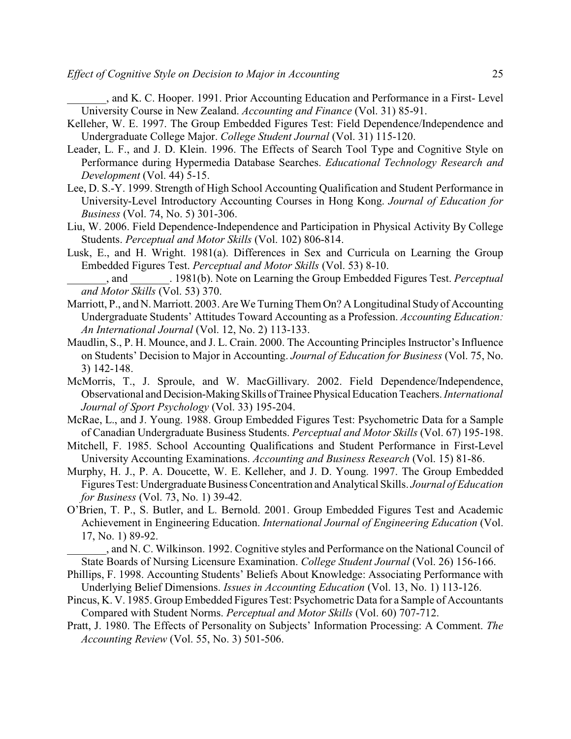\_\_\_\_\_\_\_, and K. C. Hooper. 1991. Prior Accounting Education and Performance in a First- Level University Course in New Zealand. *Accounting and Finance* (Vol. 31) 85-91.

- Kelleher, W. E. 1997. The Group Embedded Figures Test: Field Dependence/Independence and Undergraduate College Major. *College Student Journal* (Vol. 31) 115-120.
- Leader, L. F., and J. D. Klein. 1996. The Effects of Search Tool Type and Cognitive Style on Performance during Hypermedia Database Searches. *Educational Technology Research and Development* (Vol. 44) 5-15.
- Lee, D. S.-Y. 1999. Strength of High School Accounting Qualification and Student Performance in University-Level Introductory Accounting Courses in Hong Kong. *Journal of Education for Business* (Vol. 74, No. 5) 301-306.
- Liu, W. 2006. Field Dependence-Independence and Participation in Physical Activity By College Students. *Perceptual and Motor Skills* (Vol. 102) 806-814.
- Lusk, E., and H. Wright. 1981(a). Differences in Sex and Curricula on Learning the Group Embedded Figures Test. *Perceptual and Motor Skills* (Vol. 53) 8-10.
- \_\_\_\_\_\_\_, and \_\_\_\_\_\_\_. 1981(b). Note on Learning the Group Embedded Figures Test. *Perceptual and Motor Skills* (Vol. 53) 370.
- Marriott, P., and N. Marriott. 2003. Are We Turning Them On? A Longitudinal Study of Accounting Undergraduate Students' Attitudes Toward Accounting as a Profession. *Accounting Education: An International Journal* (Vol. 12, No. 2) 113-133.
- Maudlin, S., P. H. Mounce, and J. L. Crain. 2000. The Accounting Principles Instructor's Influence on Students' Decision to Major in Accounting. *Journal of Education for Business* (Vol. 75, No. 3) 142-148.
- McMorris, T., J. Sproule, and W. MacGillivary. 2002. Field Dependence/Independence, Observational and Decision-MakingSkills ofTraineePhysical Education Teachers. *International Journal of Sport Psychology* (Vol. 33) 195-204.
- McRae, L., and J. Young. 1988. Group Embedded Figures Test: Psychometric Data for a Sample of Canadian Undergraduate Business Students. *Perceptual and Motor Skills* (Vol. 67) 195-198.
- Mitchell, F. 1985. School Accounting Qualifications and Student Performance in First-Level University Accounting Examinations. *Accounting and Business Research* (Vol. 15) 81-86.
- Murphy, H. J., P. A. Doucette, W. E. Kelleher, and J. D. Young. 1997. The Group Embedded Figures Test: Undergraduate Business Concentration and Analytical Skills. *Journal of Education for Business* (Vol. 73, No. 1) 39-42.
- O'Brien, T. P., S. Butler, and L. Bernold. 2001. Group Embedded Figures Test and Academic Achievement in Engineering Education. *International Journal of Engineering Education* (Vol. 17, No. 1) 89-92.

\_\_\_\_\_\_\_, and N. C. Wilkinson. 1992. Cognitive styles and Performance on the National Council of State Boards of Nursing Licensure Examination. *College Student Journal* (Vol. 26) 156-166.

- Phillips, F. 1998. Accounting Students' Beliefs About Knowledge: Associating Performance with Underlying Belief Dimensions. *Issues in Accounting Education* (Vol. 13, No. 1) 113-126.
- Pincus, K. V. 1985. Group Embedded Figures Test: Psychometric Data for a Sample of Accountants Compared with Student Norms. *Perceptual and Motor Skills* (Vol. 60) 707-712.
- Pratt, J. 1980. The Effects of Personality on Subjects' Information Processing: A Comment. *The Accounting Review* (Vol. 55, No. 3) 501-506.